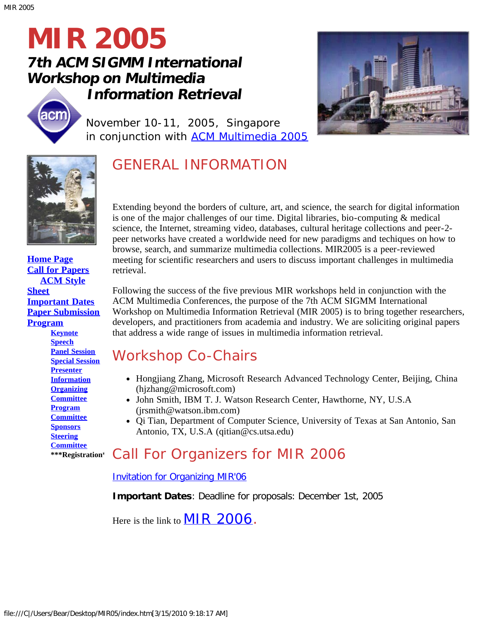# **MIR 2005**

# **7th ACM SIGMM International Workshop on Multimedia**

**Information Retrieval**



November 10-11, 2005, Singapore in conjunction with **ACM Multimedia 2005** 



**[Home Page](#page-2-0) [Call for Papers](#page-3-0) [ACM Style](javascript:if(confirm() [Sheet](javascript:if(confirm() [Important Dates](#page-6-0) [Paper Submission](javascript:if(confirm() [Program](#page-7-0)**

**[Keynote](#page-10-0) [Speech](#page-10-0) [Panel Session](#page-11-0) [Special Session](javascript:if(confirm() [Presenter](#page-13-0) [Information](#page-13-0) [Organizing](#page-14-0) [Committee](#page-14-0) [Program](#page-15-0) [Committee](#page-15-0) [Sponsors](#page-16-0) [Steering](#page-17-0) [Committee](#page-17-0)**

### GENERAL INFORMATION

Extending beyond the borders of culture, art, and science, the search for digital information is one of the major challenges of our time. Digital libraries, bio-computing & medical science, the Internet, streaming video, databases, cultural heritage collections and peer-2 peer networks have created a worldwide need for new paradigms and techiques on how to browse, search, and summarize multimedia collections. MIR2005 is a peer-reviewed meeting for scientific researchers and users to discuss important challenges in multimedia retrieval.

Following the success of the five previous MIR workshops held in conjunction with the ACM Multimedia Conferences, the purpose of the 7th ACM SIGMM International Workshop on Multimedia Information Retrieval (MIR 2005) is to bring together researchers, developers, and practitioners from academia and industry. We are soliciting original papers that address a wide range of issues in multimedia information retrieval.

# Workshop Co-Chairs

- Hongjiang Zhang, Microsoft Research Advanced Technology Center, Beijing, China (hjzhang@microsoft.com)
- John Smith, IBM T. J. Watson Research Center, Hawthorne, NY, U.S.A (jrsmith@watson.ibm.com)
- Qi Tian, Department of Computer Science, University of Texas at San Antonio, San Antonio, TX, U.S.A (qitian@cs.utsa.edu)

# **\*\*\*Registration\*** Call For Organizers for MIR 2006

#### [Invitation for Organizing MIR'06](javascript:if(confirm()

**Important Dates**: Deadline for proposals: December 1st, 2005

Here is the link to **[MIR 2006.](javascript:if(confirm()** 

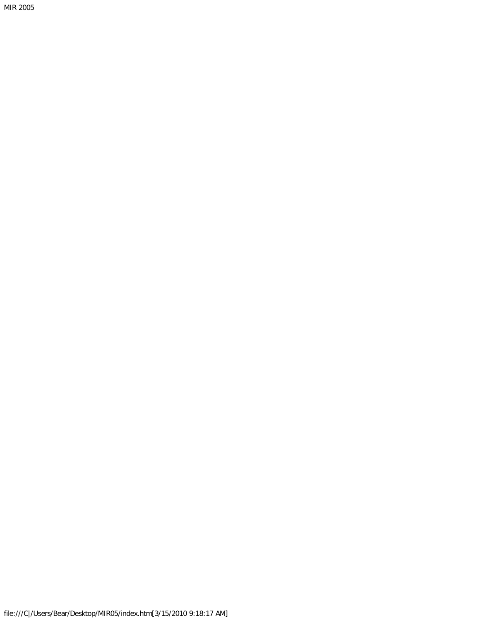MIR 2005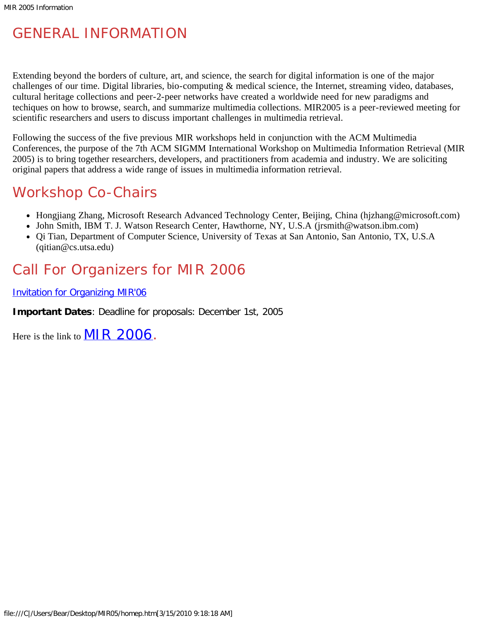# <span id="page-2-0"></span>GENERAL INFORMATION

Extending beyond the borders of culture, art, and science, the search for digital information is one of the major challenges of our time. Digital libraries, bio-computing & medical science, the Internet, streaming video, databases, cultural heritage collections and peer-2-peer networks have created a worldwide need for new paradigms and techiques on how to browse, search, and summarize multimedia collections. MIR2005 is a peer-reviewed meeting for scientific researchers and users to discuss important challenges in multimedia retrieval.

Following the success of the five previous MIR workshops held in conjunction with the ACM Multimedia Conferences, the purpose of the 7th ACM SIGMM International Workshop on Multimedia Information Retrieval (MIR 2005) is to bring together researchers, developers, and practitioners from academia and industry. We are soliciting original papers that address a wide range of issues in multimedia information retrieval.

# Workshop Co-Chairs

- Hongjiang Zhang, Microsoft Research Advanced Technology Center, Beijing, China (hjzhang@microsoft.com)
- John Smith, IBM T. J. Watson Research Center, Hawthorne, NY, U.S.A (jrsmith@watson.ibm.com)
- Qi Tian, Department of Computer Science, University of Texas at San Antonio, San Antonio, TX, U.S.A (qitian@cs.utsa.edu)

# Call For Organizers for MIR 2006

### [Invitation for Organizing MIR'06](javascript:if(confirm()

**Important Dates**: Deadline for proposals: December 1st, 2005

Here is the link to **MIR 2006**.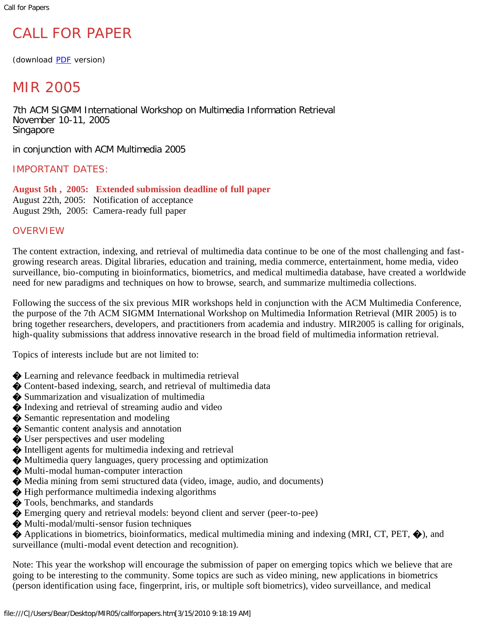### <span id="page-3-0"></span>CALL FOR PAPER

(download [PDF](#page-18-0) version)

### MIR 2005

7th ACM SIGMM International Workshop on Multimedia Information Retrieval November 10-11, 2005 Singapore

in conjunction with ACM Multimedia 2005

#### IMPORTANT DATES:

**August 5th , 2005: Extended submission deadline of full paper** August 22th, 2005: Notification of acceptance August 29th, 2005: Camera-ready full paper

#### **OVERVIEW**

The content extraction, indexing, and retrieval of multimedia data continue to be one of the most challenging and fastgrowing research areas. Digital libraries, education and training, media commerce, entertainment, home media, video surveillance, bio-computing in bioinformatics, biometrics, and medical multimedia database, have created a worldwide need for new paradigms and techniques on how to browse, search, and summarize multimedia collections.

Following the success of the six previous MIR workshops held in conjunction with the ACM Multimedia Conference, the purpose of the 7th ACM SIGMM International Workshop on Multimedia Information Retrieval (MIR 2005) is to bring together researchers, developers, and practitioners from academia and industry. MIR2005 is calling for originals, high-quality submissions that address innovative research in the broad field of multimedia information retrieval.

Topics of interests include but are not limited to:

- � Learning and relevance feedback in multimedia retrieval
- � Content-based indexing, search, and retrieval of multimedia data
- $\bullet$  Summarization and visualization of multimedia
- $\bullet$  Indexing and retrieval of streaming audio and video
- $\bullet$  Semantic representation and modeling
- � Semantic content analysis and annotation
- $\bigcirc$  User perspectives and user modeling
- � Intelligent agents for multimedia indexing and retrieval
- � Multimedia query languages, query processing and optimization
- � Multi-modal human-computer interaction
- � Media mining from semi structured data (video, image, audio, and documents)
- $\bigodot$  High performance multimedia indexing algorithms
- $\bullet$  Tools, benchmarks, and standards
- � Emerging query and retrieval models: beyond client and server (peer-to-pee)
- � Multi-modal/multi-sensor fusion techniques

� Applications in biometrics, bioinformatics, medical multimedia mining and indexing (MRI, CT, PET, �), and surveillance (multi-modal event detection and recognition).

Note: This year the workshop will encourage the submission of paper on emerging topics which we believe that are going to be interesting to the community. Some topics are such as video mining, new applications in biometrics (person identification using face, fingerprint, iris, or multiple soft biometrics), video surveillance, and medical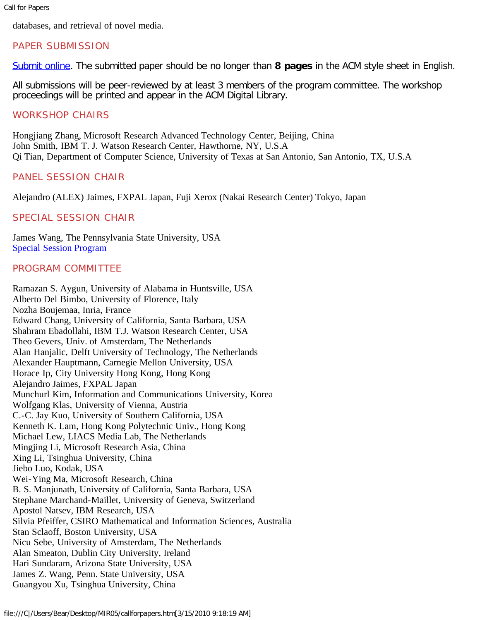databases, and retrieval of novel media.

#### PAPER SUBMISSION

[Submit online.](javascript:if(confirm() The submitted paper should be no longer than **8 pages** in the ACM style sheet in English.

All submissions will be peer-reviewed by at least 3 members of the program committee. The workshop proceedings will be printed and appear in the ACM Digital Library.

#### WORKSHOP CHAIRS

Hongjiang Zhang, Microsoft Research Advanced Technology Center, Beijing, China John Smith, IBM T. J. Watson Research Center, Hawthorne, NY, U.S.A Qi Tian, Department of Computer Science, University of Texas at San Antonio, San Antonio, TX, U.S.A

#### PANEL SESSION CHAIR

Alejandro (ALEX) Jaimes, FXPAL Japan, Fuji Xerox (Nakai Research Center) Tokyo, Japan

SPECIAL SESSION CHAIR

James Wang, The Pennsylvania State University, USA **[Special Session Program](javascript:if(confirm()** 

#### PROGRAM COMMITTEE

Ramazan S. Aygun, University of Alabama in Huntsville, USA Alberto Del Bimbo, University of Florence, Italy Nozha Boujemaa, Inria, France Edward Chang, University of California, Santa Barbara, USA Shahram Ebadollahi, IBM T.J. Watson Research Center, USA Theo Gevers, Univ. of Amsterdam, The Netherlands Alan Hanjalic, Delft University of Technology, The Netherlands Alexander Hauptmann, Carnegie Mellon University, USA Horace Ip, City University Hong Kong, Hong Kong Alejandro Jaimes, FXPAL Japan Munchurl Kim, Information and Communications University, Korea Wolfgang Klas, University of Vienna, Austria C.-C. Jay Kuo, University of Southern California, USA Kenneth K. Lam, Hong Kong Polytechnic Univ., Hong Kong Michael Lew, LIACS Media Lab, The Netherlands Mingjing Li, Microsoft Research Asia, China Xing Li, Tsinghua University, China Jiebo Luo, Kodak, USA Wei-Ying Ma, Microsoft Research, China B. S. Manjunath, University of California, Santa Barbara, USA Stephane Marchand-Maillet, University of Geneva, Switzerland Apostol Natsev, IBM Research, USA Silvia Pfeiffer, CSIRO Mathematical and Information Sciences, Australia Stan Sclaoff, Boston University, USA Nicu Sebe, University of Amsterdam, The Netherlands Alan Smeaton, Dublin City University, Ireland Hari Sundaram, Arizona State University, USA James Z. Wang, Penn. State University, USA Guangyou Xu, Tsinghua University, China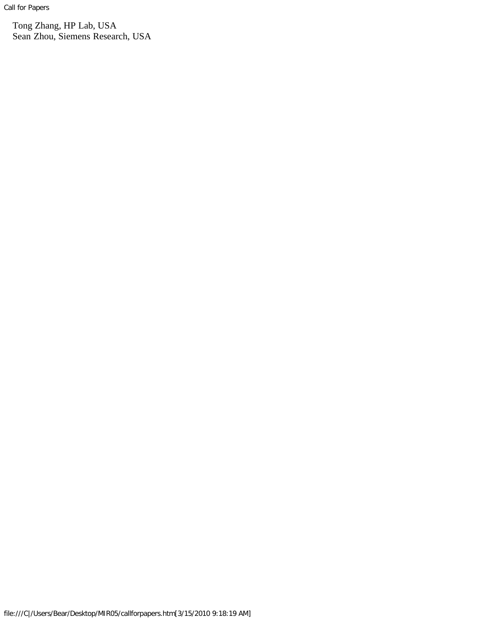Call for Papers

Tong Zhang, HP Lab, USA Sean Zhou, Siemens Research, USA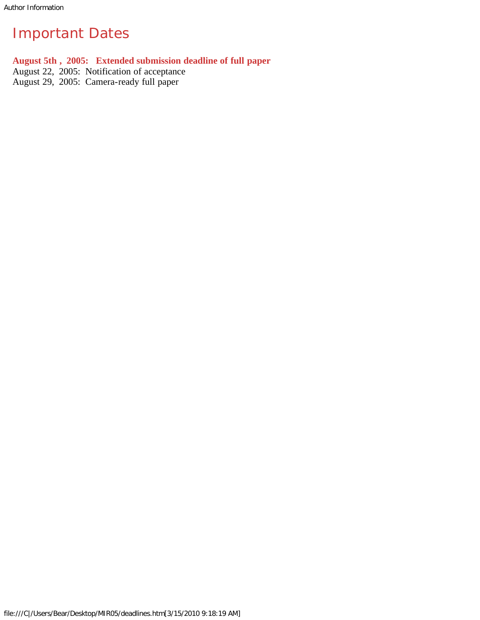### <span id="page-6-0"></span>Important Dates

**August 5th , 2005: Extended submission deadline of full paper**

- August 22, 2005: Notification of acceptance
- August 29, 2005: Camera-ready full paper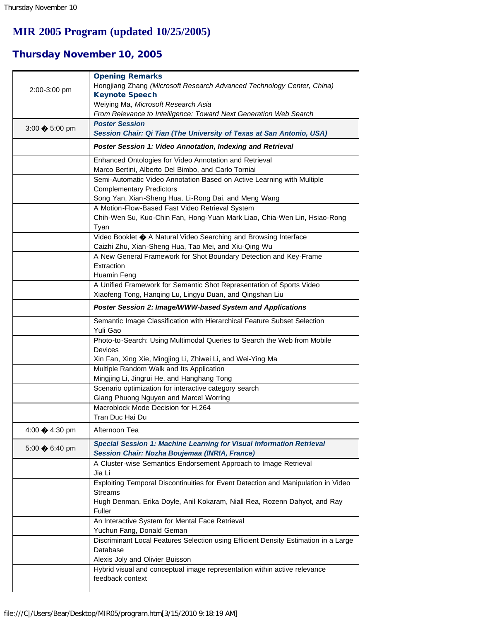### <span id="page-7-0"></span>**MIR 2005 Program (updated 10/25/2005)**

### Thursday November 10, 2005

| 2:00-3:00 pm            | <b>Opening Remarks</b><br>Hongjiang Zhang (Microsoft Research Advanced Technology Center, China)<br><b>Keynote Speech</b><br>Weiying Ma, Microsoft Research Asia<br>From Relevance to Intelligence: Toward Next Generation Web Search |
|-------------------------|---------------------------------------------------------------------------------------------------------------------------------------------------------------------------------------------------------------------------------------|
| 3:00 → 5:00 pm          | <b>Poster Session</b><br>Session Chair: Qi Tian (The University of Texas at San Antonio, USA)                                                                                                                                         |
|                         | Poster Session 1: Video Annotation, Indexing and Retrieval                                                                                                                                                                            |
|                         | Enhanced Ontologies for Video Annotation and Retrieval<br>Marco Bertini, Alberto Del Bimbo, and Carlo Torniai                                                                                                                         |
|                         | Semi-Automatic Video Annotation Based on Active Learning with Multiple<br><b>Complementary Predictors</b><br>Song Yan, Xian-Sheng Hua, Li-Rong Dai, and Meng Wang                                                                     |
|                         | A Motion-Flow-Based Fast Video Retrieval System<br>Chih-Wen Su, Kuo-Chin Fan, Hong-Yuan Mark Liao, Chia-Wen Lin, Hsiao-Rong<br>Tyan                                                                                                   |
|                         | Video Booklet � A Natural Video Searching and Browsing Interface<br>Caizhi Zhu, Xian-Sheng Hua, Tao Mei, and Xiu-Qing Wu                                                                                                              |
|                         | A New General Framework for Shot Boundary Detection and Key-Frame<br>Extraction<br>Huamin Feng                                                                                                                                        |
|                         | A Unified Framework for Semantic Shot Representation of Sports Video<br>Xiaofeng Tong, Hanqing Lu, Lingyu Duan, and Qingshan Liu                                                                                                      |
|                         | Poster Session 2: Image/WWW-based System and Applications                                                                                                                                                                             |
|                         | Semantic Image Classification with Hierarchical Feature Subset Selection<br>Yuli Gao                                                                                                                                                  |
|                         | Photo-to-Search: Using Multimodal Queries to Search the Web from Mobile<br>Devices<br>Xin Fan, Xing Xie, Mingjing Li, Zhiwei Li, and Wei-Ying Ma                                                                                      |
|                         | Multiple Random Walk and Its Application<br>Mingjing Li, Jingrui He, and Hanghang Tong                                                                                                                                                |
|                         | Scenario optimization for interactive category search<br>Giang Phuong Nguyen and Marcel Worring                                                                                                                                       |
|                         | Macroblock Mode Decision for H.264<br>Tran Duc Hai Du                                                                                                                                                                                 |
| 4:00 → 4:30 pm          | Afternoon Tea                                                                                                                                                                                                                         |
| 5:00 $\bigcirc$ 6:40 pm | Special Session 1: Machine Learning for Visual Information Retrieval<br>Session Chair: Nozha Boujemaa (INRIA, France)                                                                                                                 |
|                         | A Cluster-wise Semantics Endorsement Approach to Image Retrieval<br>Jia Li                                                                                                                                                            |
|                         | Exploiting Temporal Discontinuities for Event Detection and Manipulation in Video<br><b>Streams</b><br>Hugh Denman, Erika Doyle, Anil Kokaram, Niall Rea, Rozenn Dahyot, and Ray<br>Fuller                                            |
|                         | An Interactive System for Mental Face Retrieval<br>Yuchun Fang, Donald Geman                                                                                                                                                          |
|                         | Discriminant Local Features Selection using Efficient Density Estimation in a Large<br>Database<br>Alexis Joly and Olivier Buisson                                                                                                    |
|                         | Hybrid visual and conceptual image representation within active relevance<br>feedback context                                                                                                                                         |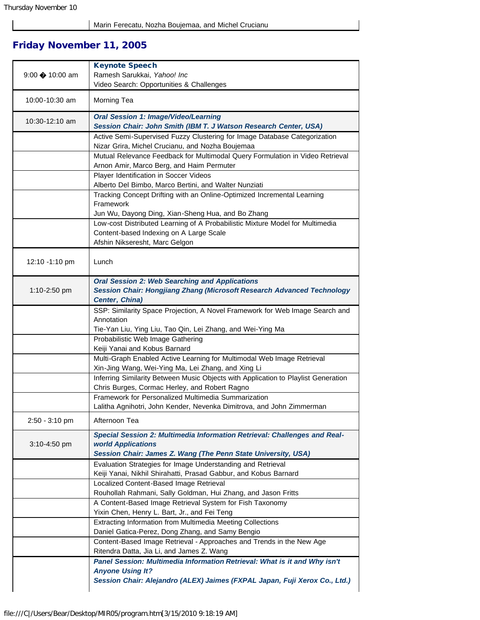### Friday November 11, 2005

| 9:00 → 10:00 am  | <b>Keynote Speech</b><br>Ramesh Sarukkai, Yahoo! Inc                                                                             |
|------------------|----------------------------------------------------------------------------------------------------------------------------------|
|                  | Video Search: Opportunities & Challenges                                                                                         |
| 10:00-10:30 am   | Morning Tea                                                                                                                      |
| 10:30-12:10 am   | <b>Oral Session 1: Image/Video/Learning</b><br>Session Chair: John Smith (IBM T. J Watson Research Center, USA)                  |
|                  | Active Semi-Supervised Fuzzy Clustering for Image Database Categorization                                                        |
|                  | Nizar Grira, Michel Crucianu, and Nozha Boujemaa                                                                                 |
|                  | Mutual Relevance Feedback for Multimodal Query Formulation in Video Retrieval                                                    |
|                  | Arnon Amir, Marco Berg, and Haim Permuter                                                                                        |
|                  | Player Identification in Soccer Videos                                                                                           |
|                  | Alberto Del Bimbo, Marco Bertini, and Walter Nunziati<br>Tracking Concept Drifting with an Online-Optimized Incremental Learning |
|                  | Framework                                                                                                                        |
|                  | Jun Wu, Dayong Ding, Xian-Sheng Hua, and Bo Zhang                                                                                |
|                  | Low-cost Distributed Learning of A Probabilistic Mixture Model for Multimedia                                                    |
|                  | Content-based Indexing on A Large Scale                                                                                          |
|                  | Afshin Nikseresht, Marc Gelgon                                                                                                   |
| 12:10 -1:10 pm   | Lunch                                                                                                                            |
|                  | <b>Oral Session 2: Web Searching and Applications</b>                                                                            |
| 1:10-2:50 pm     | <b>Session Chair: Hongjiang Zhang (Microsoft Research Advanced Technology</b>                                                    |
|                  | Center, China)                                                                                                                   |
|                  | SSP: Similarity Space Projection, A Novel Framework for Web Image Search and                                                     |
|                  | Annotation                                                                                                                       |
|                  | Tie-Yan Liu, Ying Liu, Tao Qin, Lei Zhang, and Wei-Ying Ma<br>Probabilistic Web Image Gathering                                  |
|                  | Keiji Yanai and Kobus Barnard                                                                                                    |
|                  | Multi-Graph Enabled Active Learning for Multimodal Web Image Retrieval                                                           |
|                  | Xin-Jing Wang, Wei-Ying Ma, Lei Zhang, and Xing Li                                                                               |
|                  | Inferring Similarity Between Music Objects with Application to Playlist Generation                                               |
|                  | Chris Burges, Cormac Herley, and Robert Ragno                                                                                    |
|                  | Framework for Personalized Multimedia Summarization                                                                              |
|                  | Lalitha Agnihotri, John Kender, Nevenka Dimitrova, and John Zimmerman                                                            |
| 2:50 - 3:10 pm   | Afternoon Tea                                                                                                                    |
|                  | Special Session 2: Multimedia Information Retrieval: Challenges and Real-                                                        |
| $3:10 - 4:50$ pm | world Applications                                                                                                               |
|                  | Session Chair: James Z. Wang (The Penn State University, USA)                                                                    |
|                  | Evaluation Strategies for Image Understanding and Retrieval                                                                      |
|                  | Keiji Yanai, Nikhil Shirahatti, Prasad Gabbur, and Kobus Barnard<br>Localized Content-Based Image Retrieval                      |
|                  | Rouhollah Rahmani, Sally Goldman, Hui Zhang, and Jason Fritts                                                                    |
|                  | A Content-Based Image Retrieval System for Fish Taxonomy                                                                         |
|                  | Yixin Chen, Henry L. Bart, Jr., and Fei Teng                                                                                     |
|                  | Extracting Information from Multimedia Meeting Collections                                                                       |
|                  | Daniel Gatica-Perez, Dong Zhang, and Samy Bengio                                                                                 |
|                  | Content-Based Image Retrieval - Approaches and Trends in the New Age                                                             |
|                  | Ritendra Datta, Jia Li, and James Z. Wang                                                                                        |
|                  | Panel Session: Multimedia Information Retrieval: What is it and Why isn't                                                        |
|                  | <b>Anyone Using It?</b>                                                                                                          |
|                  | Session Chair: Alejandro (ALEX) Jaimes (FXPAL Japan, Fuji Xerox Co., Ltd.)                                                       |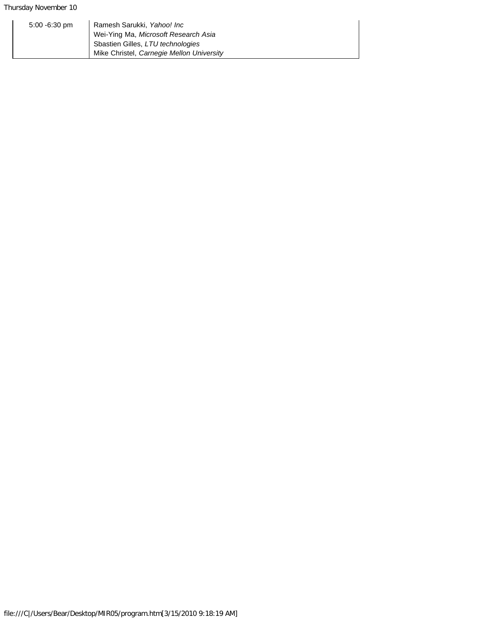#### Thursday November 10

| $5:00 - 6:30$ pm | Ramesh Sarukki, Yahoo! Inc                |
|------------------|-------------------------------------------|
|                  | Wei-Ying Ma, Microsoft Research Asia      |
|                  | Sbastien Gilles, LTU technologies         |
|                  | Mike Christel, Carnegie Mellon University |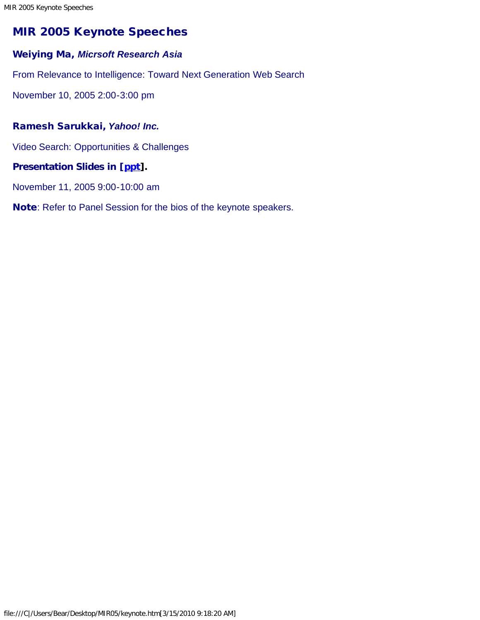### <span id="page-10-0"></span>MIR 2005 Keynote Speeches

#### Weiying Ma, *Micrsoft Research Asia*

From Relevance to Intelligence: Toward Next Generation Web Search

November 10, 2005 2:00-3:00 pm

#### Ramesh Sarukkai, *Yahoo! Inc.*

Video Search: Opportunities & Challenges

#### **Presentation Slides in [[ppt\]](file:///C|/Users/Bear/Desktop/MIR05/MIR-Keynote-2005-Sarukkai-Final.ppt).**

November 11, 2005 9:00-10:00 am

Note: Refer to Panel Session for the bios of the keynote speakers.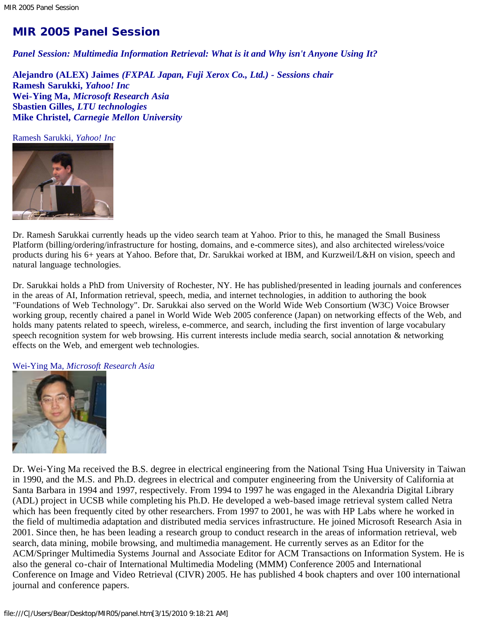### <span id="page-11-0"></span>MIR 2005 Panel Session

*Panel Session: Multimedia Information Retrieval: What is it and Why isn't Anyone Using It?*

**Alejandro (ALEX) Jaimes** *(FXPAL Japan, Fuji Xerox Co., Ltd.) - Sessions chair* **Ramesh Sarukki***, Yahoo! Inc* **Wei-Ying Ma***, Microsoft Research Asia* **Sbastien Gilles,** *LTU technologies* **Mike Christel,** *Carnegie Mellon University*

Ramesh Sarukki, *Yahoo! Inc*



Dr. Ramesh Sarukkai currently heads up the video search team at Yahoo. Prior to this, he managed the Small Business Platform (billing/ordering/infrastructure for hosting, domains, and e-commerce sites), and also architected wireless/voice products during his 6+ years at Yahoo. Before that, Dr. Sarukkai worked at IBM, and Kurzweil/L&H on vision, speech and natural language technologies.

Dr. Sarukkai holds a PhD from University of Rochester, NY. He has published/presented in leading journals and conferences in the areas of AI, Information retrieval, speech, media, and internet technologies, in addition to authoring the book "Foundations of Web Technology". Dr. Sarukkai also served on the World Wide Web Consortium (W3C) Voice Browser working group, recently chaired a panel in World Wide Web 2005 conference (Japan) on networking effects of the Web, and holds many patents related to speech, wireless, e-commerce, and search, including the first invention of large vocabulary speech recognition system for web browsing. His current interests include media search, social annotation & networking effects on the Web, and emergent web technologies.

#### Wei-Ying Ma, *Microsoft Research Asia*



Dr. Wei-Ying Ma received the B.S. degree in electrical engineering from the National Tsing Hua University in Taiwan in 1990, and the M.S. and Ph.D. degrees in electrical and computer engineering from the University of California at Santa Barbara in 1994 and 1997, respectively. From 1994 to 1997 he was engaged in the Alexandria Digital Library (ADL) project in UCSB while completing his Ph.D. He developed a web-based image retrieval system called Netra which has been frequently cited by other researchers. From 1997 to 2001, he was with HP Labs where he worked in the field of multimedia adaptation and distributed media services infrastructure. He joined Microsoft Research Asia in 2001. Since then, he has been leading a research group to conduct research in the areas of information retrieval, web search, data mining, mobile browsing, and multimedia management. He currently serves as an Editor for the ACM/Springer Multimedia Systems Journal and Associate Editor for ACM Transactions on Information System. He is also the general co-chair of International Multimedia Modeling (MMM) Conference 2005 and International Conference on Image and Video Retrieval (CIVR) 2005. He has published 4 book chapters and over 100 international journal and conference papers.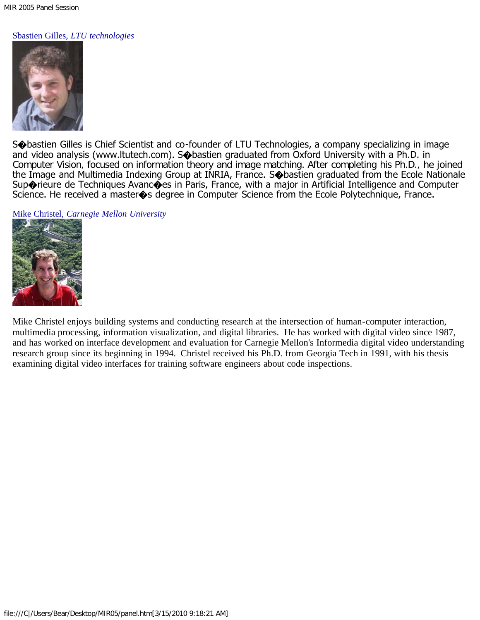#### Sbastien Gilles, *LTU technologies*



S�bastien Gilles is Chief Scientist and co-founder of LTU Technologies, a company specializing in image and video analysis (www.ltutech.com). S�bastien graduated from Oxford University with a Ph.D. in Computer Vision, focused on information theory and image matching. After completing his Ph.D., he joined the Image and Multimedia Indexing Group at INRIA, France. S�bastien graduated from the Ecole Nationale Sup $\bigcirc$ rieure de Techniques Avanc $\bigcirc$ es in Paris, France, with a major in Artificial Intelligence and Computer Science. He received a master  $\bullet$ s degree in Computer Science from the Ecole Polytechnique, France.

#### Mike Christel, *Carnegie Mellon University*



Mike Christel enjoys building systems and conducting research at the intersection of human-computer interaction, multimedia processing, information visualization, and digital libraries. He has worked with digital video since 1987, and has worked on interface development and evaluation for Carnegie Mellon's Informedia digital video understanding research group since its beginning in 1994. Christel received his Ph.D. from Georgia Tech in 1991, with his thesis examining digital video interfaces for training software engineers about code inspections.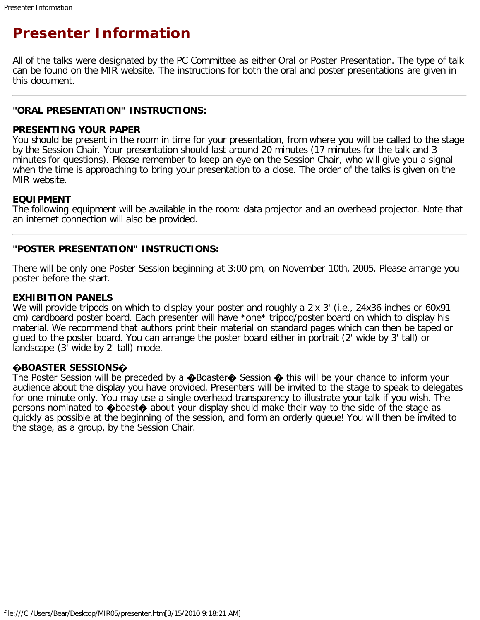### <span id="page-13-0"></span>**Presenter Information**

All of the talks were designated by the PC Committee as either Oral or Poster Presentation. The type of talk can be found on the MIR website. The instructions for both the oral and poster presentations are given in this document.

#### **"ORAL PRESENTATION" INSTRUCTIONS:**

#### **PRESENTING YOUR PAPER**

You should be present in the room in time for your presentation, from where you will be called to the stage by the Session Chair. Your presentation should last around 20 minutes (17 minutes for the talk and 3 minutes for questions). Please remember to keep an eye on the Session Chair, who will give you a signal when the time is approaching to bring your presentation to a close. The order of the talks is given on the MIR website.

#### **EQUIPMENT**

The following equipment will be available in the room: data projector and an overhead projector. Note that an internet connection will also be provided.

#### **"POSTER PRESENTATION" INSTRUCTIONS:**

There will be only one Poster Session beginning at 3:00 pm, on November 10th, 2005. Please arrange you poster before the start.

#### **EXHIBITION PANELS**

We will provide tripods on which to display your poster and roughly a 2'x 3' (i.e., 24x36 inches or 60x91 cm) cardboard poster board. Each presenter will have \*one\* tripod/poster board on which to display his material. We recommend that authors print their material on standard pages which can then be taped or glued to the poster board. You can arrange the poster board either in portrait (2' wide by 3' tall) or landscape (3' wide by 2' tall) mode.

#### **�BOASTER SESSIONS�**

The Poster Session will be preceded by a  $\bigcirc$ Boaster $\bigcirc$  Session  $\bigcirc$  this will be your chance to inform your audience about the display you have provided. Presenters will be invited to the stage to speak to delegates for one minute only. You may use a single overhead transparency to illustrate your talk if you wish. The persons nominated to  $\bullet$  boast $\bullet$  about your display should make their way to the side of the stage as quickly as possible at the beginning of the session, and form an orderly queue! You will then be invited to the stage, as a group, by the Session Chair.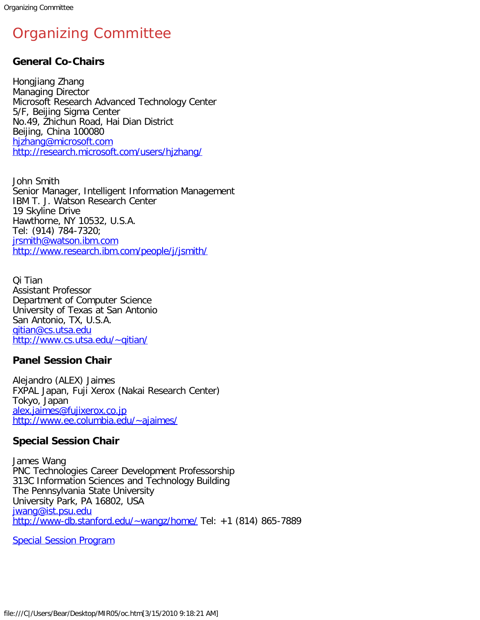<span id="page-14-0"></span>Organizing Committee

# Organizing Committee

### **General Co-Chairs**

Hongjiang Zhang Managing Director Microsoft Research Advanced Technology Center 5/F, Beijing Sigma Center No.49, Zhichun Road, Hai Dian District Beijing, China 100080 [hjzhang@microsoft.com](mailto:hjzhang@microsoft.com) [http://research.microsoft.com/users/hjzhang/](javascript:if(confirm()

John Smith Senior Manager, Intelligent Information Management IBM T. J. Watson Research Center 19 Skyline Drive Hawthorne, NY 10532, U.S.A. Tel: (914) 784-7320; [jrsmith@watson.ibm.com](mailto:jrsmith@watson.ibm.com) [http://www.research.ibm.com/people/j/jsmith/](javascript:if(confirm()

Qi Tian Assistant Professor Department of Computer Science University of Texas at San Antonio San Antonio, TX, U.S.A. [qitian@cs.utsa.edu](mailto:qitian@cs.utsa.edu) [http://www.cs.utsa.edu/~qitian/](javascript:if(confirm()

### **Panel Session Chair**

Alejandro (ALEX) Jaimes FXPAL Japan, Fuji Xerox (Nakai Research Center) Tokyo, Japan [alex.jaimes@fujixerox.co.jp](mailto:alex.jaimes@fujixerox.co.jp) [http://www.ee.columbia.edu/~ajaimes/](javascript:if(confirm()

### **Special Session Chair**

James Wang PNC Technologies Career Development Professorship 313C Information Sciences and Technology Building The Pennsylvania State University University Park, PA 16802, USA [jwang@ist.psu.edu](mailto:jwang@ist.psu.edu) [http://www-db.stanford.edu/~wangz/home/](javascript:if(confirm() Tel: +1 (814) 865-7889

[Special Session Program](javascript:if(confirm()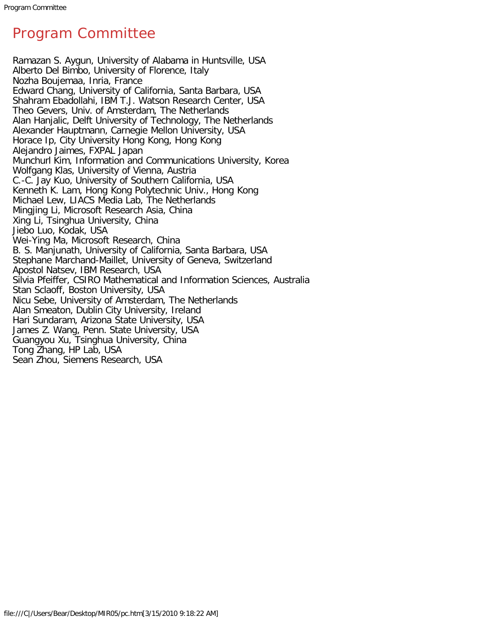### <span id="page-15-0"></span>Program Committee

Ramazan S. Aygun, University of Alabama in Huntsville, USA Alberto Del Bimbo, University of Florence, Italy Nozha Boujemaa, Inria, France Edward Chang, University of California, Santa Barbara, USA Shahram Ebadollahi, IBM T.J. Watson Research Center, USA Theo Gevers, Univ. of Amsterdam, The Netherlands Alan Hanjalic, Delft University of Technology, The Netherlands Alexander Hauptmann, Carnegie Mellon University, USA Horace Ip, City University Hong Kong, Hong Kong Alejandro Jaimes, FXPAL Japan Munchurl Kim, Information and Communications University, Korea Wolfgang Klas, University of Vienna, Austria C.-C. Jay Kuo, University of Southern California, USA Kenneth K. Lam, Hong Kong Polytechnic Univ., Hong Kong Michael Lew, LIACS Media Lab, The Netherlands Mingjing Li, Microsoft Research Asia, China Xing Li, Tsinghua University, China Jiebo Luo, Kodak, USA Wei-Ying Ma, Microsoft Research, China B. S. Manjunath, University of California, Santa Barbara, USA Stephane Marchand-Maillet, University of Geneva, Switzerland Apostol Natsev, IBM Research, USA Silvia Pfeiffer, CSIRO Mathematical and Information Sciences, Australia Stan Sclaoff, Boston University, USA Nicu Sebe, University of Amsterdam, The Netherlands Alan Smeaton, Dublin City University, Ireland Hari Sundaram, Arizona State University, USA James Z. Wang, Penn. State University, USA Guangyou Xu, Tsinghua University, China Tong Zhang, HP Lab, USA Sean Zhou, Siemens Research, USA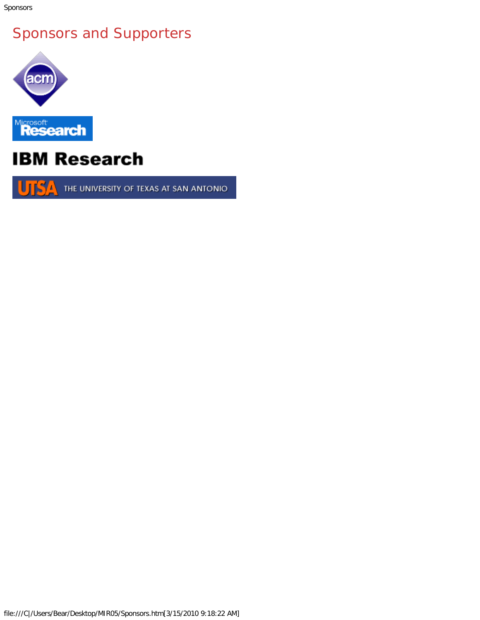<span id="page-16-0"></span>Sponsors

# Sponsors and Supporters



# **IBM Research**

THE UNIVERSITY OF TEXAS AT SAN ANTONIO  $\mathbf{r}$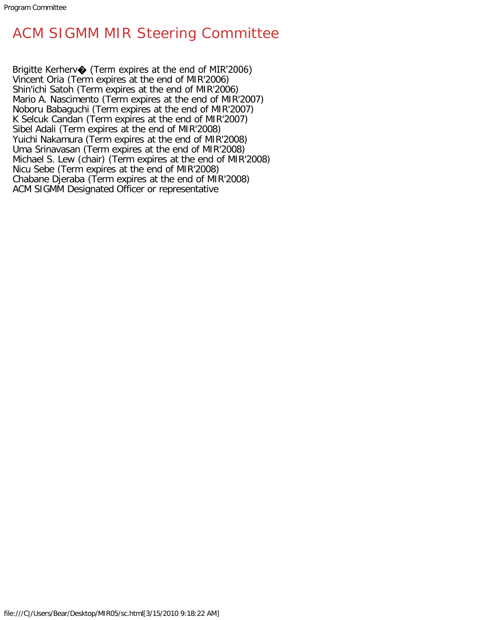### <span id="page-17-0"></span>ACM SIGMM MIR Steering Committee

Brigitte Kerherv� (Term expires at the end of MIR'2006) Vincent Oria (Term expires at the end of MIR'2006) Shin'ichi Satoh (Term expires at the end of MIR'2006) Mario A. Nascimento (Term expires at the end of MIR'2007) Noboru Babaguchi (Term expires at the end of MIR'2007) K Selcuk Candan (Term expires at the end of MIR'2007) Sibel Adali (Term expires at the end of MIR'2008) Yuichi Nakamura (Term expires at the end of MIR'2008) Uma Srinavasan (Term expires at the end of MIR'2008) Michael S. Lew (chair) (Term expires at the end of MIR'2008) Nicu Sebe (Term expires at the end of MIR'2008) Chabane Djeraba (Term expires at the end of MIR'2008) ACM SIGMM Designated Officer or representative